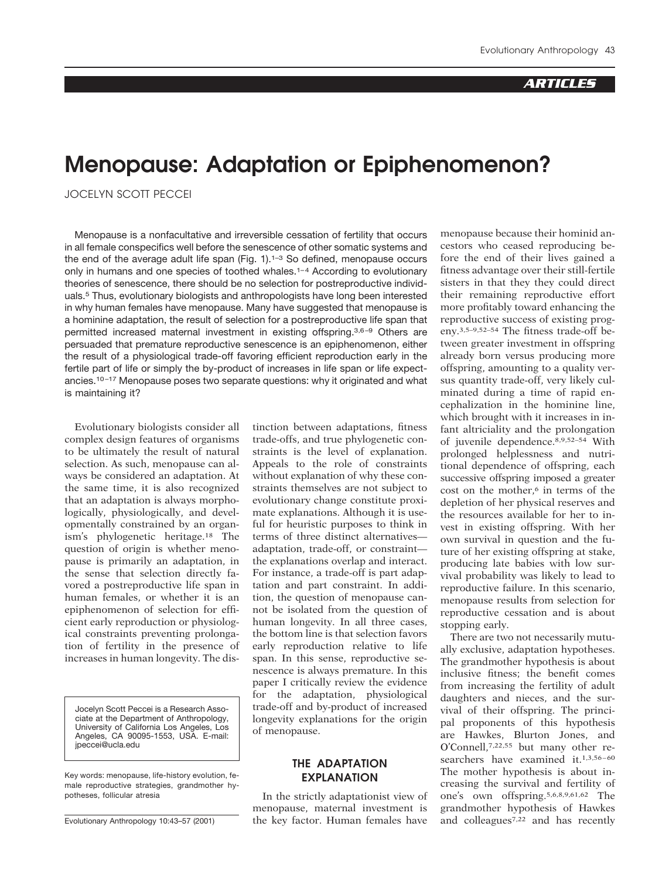# **Menopause: Adaptation or Epiphenomenon?**

JOCELYN SCOTT PECCEI

Menopause is a nonfacultative and irreversible cessation of fertility that occurs in all female conspecifics well before the senescence of other somatic systems and the end of the average adult life span (Fig. 1).<sup>1-3</sup> So defined, menopause occurs only in humans and one species of toothed whales.1–4 According to evolutionary theories of senescence, there should be no selection for postreproductive individuals.5 Thus, evolutionary biologists and anthropologists have long been interested in why human females have menopause. Many have suggested that menopause is a hominine adaptation, the result of selection for a postreproductive life span that permitted increased maternal investment in existing offspring.3,6–9 Others are persuaded that premature reproductive senescence is an epiphenomenon, either the result of a physiological trade-off favoring efficient reproduction early in the fertile part of life or simply the by-product of increases in life span or life expectancies.10–17 Menopause poses two separate questions: why it originated and what is maintaining it?

Evolutionary biologists consider all complex design features of organisms to be ultimately the result of natural selection. As such, menopause can always be considered an adaptation. At the same time, it is also recognized that an adaptation is always morphologically, physiologically, and developmentally constrained by an organism's phylogenetic heritage.18 The question of origin is whether menopause is primarily an adaptation, in the sense that selection directly favored a postreproductive life span in human females, or whether it is an epiphenomenon of selection for efficient early reproduction or physiological constraints preventing prolongation of fertility in the presence of increases in human longevity. The dis-

Jocelyn Scott Peccei is a Research Associate at the Department of Anthropology, University of California Los Angeles, Los Angeles, CA 90095-1553, USA. E-mail: jpeccei@ucla.edu

Key words: menopause, life-history evolution, female reproductive strategies, grandmother hypotheses, follicular atresia

tinction between adaptations, fitness trade-offs, and true phylogenetic constraints is the level of explanation. Appeals to the role of constraints without explanation of why these constraints themselves are not subject to evolutionary change constitute proximate explanations. Although it is useful for heuristic purposes to think in terms of three distinct alternatives adaptation, trade-off, or constraint the explanations overlap and interact. For instance, a trade-off is part adaptation and part constraint. In addition, the question of menopause cannot be isolated from the question of human longevity. In all three cases, the bottom line is that selection favors early reproduction relative to life span. In this sense, reproductive senescence is always premature. In this paper I critically review the evidence for the adaptation, physiological trade-off and by-product of increased longevity explanations for the origin of menopause.

# **THE ADAPTATION EXPLANATION**

In the strictly adaptationist view of menopause, maternal investment is the key factor. Human females have menopause because their hominid ancestors who ceased reproducing before the end of their lives gained a fitness advantage over their still-fertile sisters in that they they could direct their remaining reproductive effort more profitably toward enhancing the reproductive success of existing progeny.3,5–9,52–54 The fitness trade-off between greater investment in offspring already born versus producing more offspring, amounting to a quality versus quantity trade-off, very likely culminated during a time of rapid encephalization in the hominine line, which brought with it increases in infant altriciality and the prolongation of juvenile dependence.8,9,52–54 With prolonged helplessness and nutritional dependence of offspring, each successive offspring imposed a greater cost on the mother,<sup>6</sup> in terms of the depletion of her physical reserves and the resources available for her to invest in existing offspring. With her own survival in question and the future of her existing offspring at stake, producing late babies with low survival probability was likely to lead to reproductive failure. In this scenario, menopause results from selection for reproductive cessation and is about stopping early.

There are two not necessarily mutually exclusive, adaptation hypotheses. The grandmother hypothesis is about inclusive fitness; the benefit comes from increasing the fertility of adult daughters and nieces, and the survival of their offspring. The principal proponents of this hypothesis are Hawkes, Blurton Jones, and O'Connell,7,22,55 but many other researchers have examined it.<sup>1,3,56-60</sup> The mother hypothesis is about increasing the survival and fertility of one's own offspring.5,6,8,9,61,62 The grandmother hypothesis of Hawkes and colleagues7,22 and has recently

Evolutionary Anthropology 10:43–57 (2001)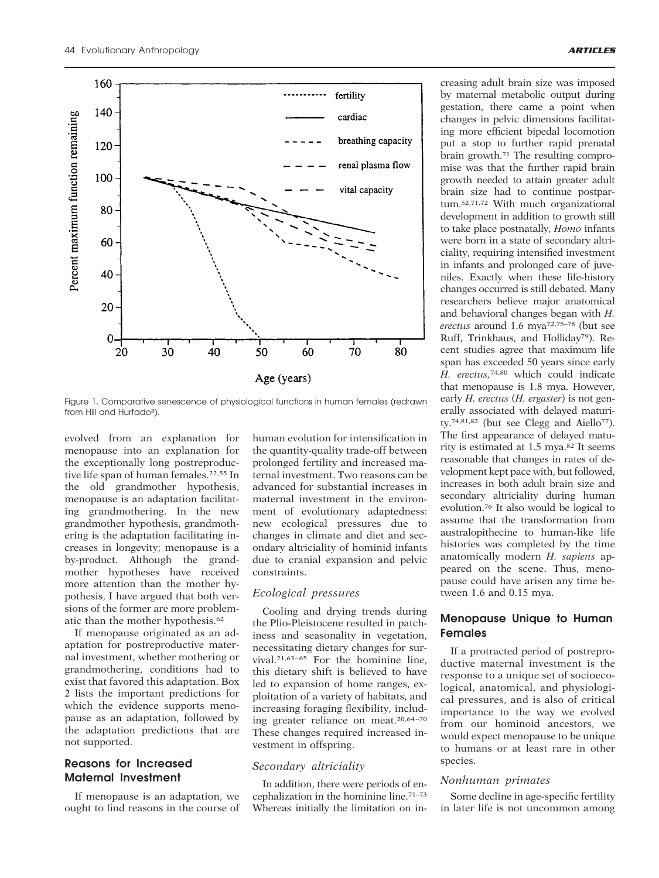

Figure 1. Comparative senescence of physiological functions in human females (redrawn from Hill and Hurtado<sup>3</sup>).

evolved from an explanation for menopause into an explanation for the exceptionally long postreproductive life span of human females.22,55 In the old grandmother hypothesis, menopause is an adaptation facilitating grandmothering. In the new grandmother hypothesis, grandmothering is the adaptation facilitating increases in longevity; menopause is a by-product. Although the grandmother hypotheses have received more attention than the mother hypothesis, I have argued that both versions of the former are more problematic than the mother hypothesis.62

If menopause originated as an adaptation for postreproductive maternal investment, whether mothering or grandmothering, conditions had to exist that favored this adaptation. Box 2 lists the important predictions for which the evidence supports menopause as an adaptation, followed by the adaptation predictions that are not supported.

## **Reasons for Increased Maternal Investment**

If menopause is an adaptation, we ought to find reasons in the course of

human evolution for intensification in the quantity-quality trade-off between prolonged fertility and increased maternal investment. Two reasons can be advanced for substantial increases in maternal investment in the environment of evolutionary adaptedness: new ecological pressures due to changes in climate and diet and secondary altriciality of hominid infants due to cranial expansion and pelvic constraints.

#### *Ecological pressures*

Cooling and drying trends during the Plio-Pleistocene resulted in patchiness and seasonality in vegetation, necessitating dietary changes for survival.21,63–65 For the hominine line, this dietary shift is believed to have led to expansion of home ranges, exploitation of a variety of habitats, and increasing foraging flexibility, including greater reliance on meat.20,64–70 These changes required increased investment in offspring.

#### *Secondary altriciality*

In addition, there were periods of encephalization in the hominine line.71–73 Whereas initially the limitation on in-

creasing adult brain size was imposed by maternal metabolic output during gestation, there came a point when changes in pelvic dimensions facilitating more efficient bipedal locomotion put a stop to further rapid prenatal brain growth.71 The resulting compromise was that the further rapid brain growth needed to attain greater adult brain size had to continue postpartum.52,71,72 With much organizational development in addition to growth still to take place postnatally, *Homo* infants were born in a state of secondary altriciality, requiring intensified investment in infants and prolonged care of juveniles. Exactly when these life-history changes occurred is still debated. Many researchers believe major anatomical and behavioral changes began with *H. erectus* around 1.6 mya72,75–78 (but see Ruff, Trinkhaus, and Holliday79). Recent studies agree that maximum life span has exceeded 50 years since early *H. erectus,*74,80 which could indicate that menopause is 1.8 mya. However, early *H. erectus* (*H. ergaster*) is not generally associated with delayed maturity.<sup>74,81,82</sup> (but see Clegg and Aiello<sup>77</sup>). The first appearance of delayed maturity is estimated at 1.5 mya.82 It seems reasonable that changes in rates of development kept pace with, but followed, increases in both adult brain size and secondary altriciality during human evolution.76 It also would be logical to assume that the transformation from australopithecine to human-like life histories was completed by the time anatomically modern *H. sapiens* appeared on the scene. Thus, menopause could have arisen any time between 1.6 and 0.15 mya.

## **Menopause Unique to Human Females**

If a protracted period of postreproductive maternal investment is the response to a unique set of socioecological, anatomical, and physiological pressures, and is also of critical importance to the way we evolved from our hominoid ancestors, we would expect menopause to be unique to humans or at least rare in other species.

#### *Nonhuman primates*

Some decline in age-specific fertility in later life is not uncommon among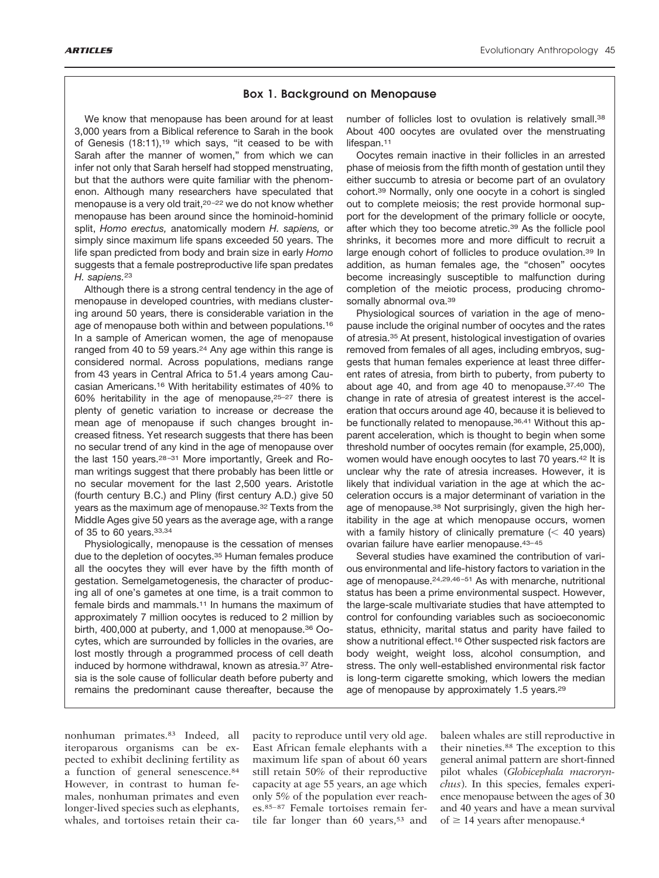#### **Box 1. Background on Menopause**

We know that menopause has been around for at least 3,000 years from a Biblical reference to Sarah in the book of Genesis (18:11),<sup>19</sup> which says, "it ceased to be with Sarah after the manner of women," from which we can infer not only that Sarah herself had stopped menstruating, but that the authors were quite familiar with the phenomenon. Although many researchers have speculated that menopause is a very old trait,<sup>20-22</sup> we do not know whether menopause has been around since the hominoid-hominid split, *Homo erectus,* anatomically modern *H. sapiens,* or simply since maximum life spans exceeded 50 years. The life span predicted from body and brain size in early *Homo* suggests that a female postreproductive life span predates *H. sapiens.*<sup>23</sup>

Although there is a strong central tendency in the age of menopause in developed countries, with medians clustering around 50 years, there is considerable variation in the age of menopause both within and between populations.<sup>16</sup> In a sample of American women, the age of menopause ranged from 40 to 59 years.<sup>24</sup> Any age within this range is considered normal. Across populations, medians range from 43 years in Central Africa to 51.4 years among Caucasian Americans.16 With heritability estimates of 40% to 60% heritability in the age of menopause, $25-27$  there is plenty of genetic variation to increase or decrease the mean age of menopause if such changes brought increased fitness. Yet research suggests that there has been no secular trend of any kind in the age of menopause over the last 150 years.<sup>28-31</sup> More importantly, Greek and Roman writings suggest that there probably has been little or no secular movement for the last 2,500 years. Aristotle (fourth century B.C.) and Pliny (first century A.D.) give 50 years as the maximum age of menopause.<sup>32</sup> Texts from the Middle Ages give 50 years as the average age, with a range of 35 to 60 years.33,34

Physiologically, menopause is the cessation of menses due to the depletion of oocytes.<sup>35</sup> Human females produce all the oocytes they will ever have by the fifth month of gestation. Semelgametogenesis, the character of producing all of one's gametes at one time, is a trait common to female birds and mammals.11 In humans the maximum of approximately 7 million oocytes is reduced to 2 million by birth, 400,000 at puberty, and 1,000 at menopause.<sup>36</sup> Oocytes, which are surrounded by follicles in the ovaries, are lost mostly through a programmed process of cell death induced by hormone withdrawal, known as atresia.<sup>37</sup> Atresia is the sole cause of follicular death before puberty and remains the predominant cause thereafter, because the

number of follicles lost to ovulation is relatively small.38 About 400 oocytes are ovulated over the menstruating lifespan.<sup>11</sup>

Oocytes remain inactive in their follicles in an arrested phase of meiosis from the fifth month of gestation until they either succumb to atresia or become part of an ovulatory cohort.39 Normally, only one oocyte in a cohort is singled out to complete meiosis; the rest provide hormonal support for the development of the primary follicle or oocyte, after which they too become atretic.39 As the follicle pool shrinks, it becomes more and more difficult to recruit a large enough cohort of follicles to produce ovulation.<sup>39</sup> In addition, as human females age, the "chosen" oocytes become increasingly susceptible to malfunction during completion of the meiotic process, producing chromosomally abnormal ova.<sup>39</sup>

Physiological sources of variation in the age of menopause include the original number of oocytes and the rates of atresia.35 At present, histological investigation of ovaries removed from females of all ages, including embryos, suggests that human females experience at least three different rates of atresia, from birth to puberty, from puberty to about age 40, and from age 40 to menopause.37,40 The change in rate of atresia of greatest interest is the acceleration that occurs around age 40, because it is believed to be functionally related to menopause.<sup>36,41</sup> Without this apparent acceleration, which is thought to begin when some threshold number of oocytes remain (for example, 25,000), women would have enough oocytes to last 70 years.42 It is unclear why the rate of atresia increases. However, it is likely that individual variation in the age at which the acceleration occurs is a major determinant of variation in the age of menopause.<sup>38</sup> Not surprisingly, given the high heritability in the age at which menopause occurs, women with a family history of clinically premature  $(< 40$  years) ovarian failure have earlier menopause.43–45

Several studies have examined the contribution of various environmental and life-history factors to variation in the age of menopause.<sup>24,29,46-51</sup> As with menarche, nutritional status has been a prime environmental suspect. However, the large-scale multivariate studies that have attempted to control for confounding variables such as socioeconomic status, ethnicity, marital status and parity have failed to show a nutritional effect.<sup>16</sup> Other suspected risk factors are body weight, weight loss, alcohol consumption, and stress. The only well-established environmental risk factor is long-term cigarette smoking, which lowers the median age of menopause by approximately 1.5 years.<sup>29</sup>

nonhuman primates.83 Indeed, all iteroparous organisms can be expected to exhibit declining fertility as a function of general senescence.84 However, in contrast to human females, nonhuman primates and even longer-lived species such as elephants, whales, and tortoises retain their ca-

pacity to reproduce until very old age. East African female elephants with a maximum life span of about 60 years still retain 50% of their reproductive capacity at age 55 years, an age which only 5% of the population ever reaches.85–87 Female tortoises remain fertile far longer than 60 years,<sup>53</sup> and

baleen whales are still reproductive in their nineties.88 The exception to this general animal pattern are short-finned pilot whales (*Globicephala macrorynchus*). In this species, females experience menopause between the ages of 30 and 40 years and have a mean survival of  $\geq 14$  years after menopause.<sup>4</sup>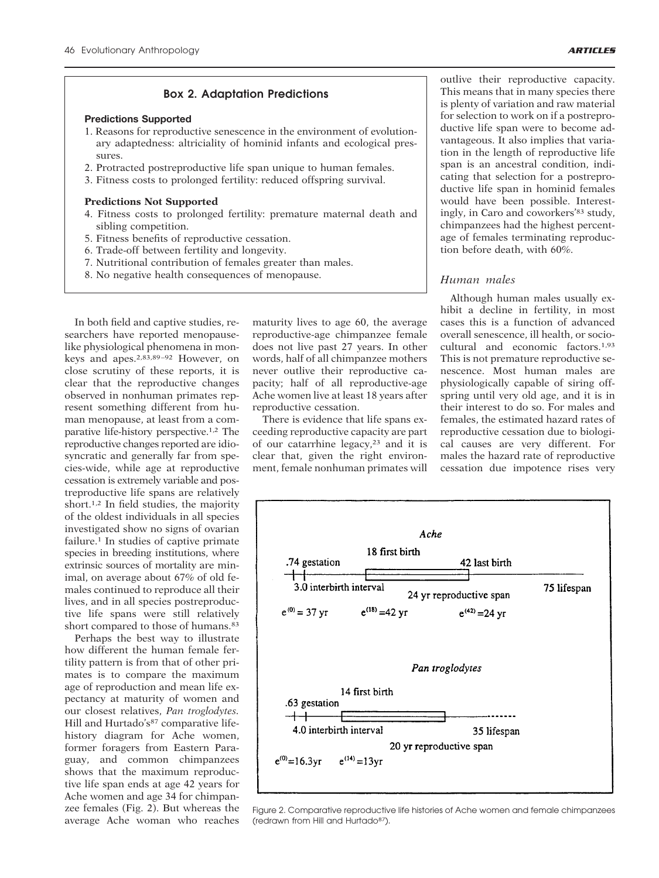#### **Box 2. Adaptation Predictions**

#### **Predictions Supported**

- 1. Reasons for reproductive senescence in the environment of evolutionary adaptedness: altriciality of hominid infants and ecological pressures.
- 2. Protracted postreproductive life span unique to human females.
- 3. Fitness costs to prolonged fertility: reduced offspring survival.

#### **Predictions Not Supported**

- 4. Fitness costs to prolonged fertility: premature maternal death and sibling competition.
- 5. Fitness benefits of reproductive cessation.
- 6. Trade-off between fertility and longevity.
- 7. Nutritional contribution of females greater than males.
- 8. No negative health consequences of menopause.

In both field and captive studies, researchers have reported menopauselike physiological phenomena in monkeys and apes.2,83,89–92 However, on close scrutiny of these reports, it is clear that the reproductive changes observed in nonhuman primates represent something different from human menopause, at least from a comparative life-history perspective.1,2 The reproductive changes reported are idiosyncratic and generally far from species-wide, while age at reproductive cessation is extremely variable and postreproductive life spans are relatively short.1,2 In field studies, the majority of the oldest individuals in all species investigated show no signs of ovarian failure.<sup>1</sup> In studies of captive primate species in breeding institutions, where extrinsic sources of mortality are minimal, on average about 67% of old females continued to reproduce all their lives, and in all species postreproductive life spans were still relatively short compared to those of humans.<sup>83</sup>

Perhaps the best way to illustrate how different the human female fertility pattern is from that of other primates is to compare the maximum age of reproduction and mean life expectancy at maturity of women and our closest relatives, *Pan troglodytes.* Hill and Hurtado's<sup>87</sup> comparative lifehistory diagram for Ache women, former foragers from Eastern Paraguay, and common chimpanzees shows that the maximum reproductive life span ends at age 42 years for Ache women and age 34 for chimpanzee females (Fig. 2). But whereas the average Ache woman who reaches

maturity lives to age 60, the average reproductive-age chimpanzee female does not live past 27 years. In other words, half of all chimpanzee mothers never outlive their reproductive capacity; half of all reproductive-age Ache women live at least 18 years after reproductive cessation.

There is evidence that life spans exceeding reproductive capacity are part of our catarrhine legacy,23 and it is clear that, given the right environment, female nonhuman primates will outlive their reproductive capacity. This means that in many species there is plenty of variation and raw material for selection to work on if a postreproductive life span were to become advantageous. It also implies that variation in the length of reproductive life span is an ancestral condition, indicating that selection for a postreproductive life span in hominid females would have been possible. Interestingly, in Caro and coworkers'83 study, chimpanzees had the highest percentage of females terminating reproduction before death, with 60%.

#### *Human males*

Although human males usually exhibit a decline in fertility, in most cases this is a function of advanced overall senescence, ill health, or sociocultural and economic factors.1,93 This is not premature reproductive senescence. Most human males are physiologically capable of siring offspring until very old age, and it is in their interest to do so. For males and females, the estimated hazard rates of reproductive cessation due to biological causes are very different. For males the hazard rate of reproductive cessation due impotence rises very



Figure 2. Comparative reproductive life histories of Ache women and female chimpanzees (redrawn from Hill and Hurtado87).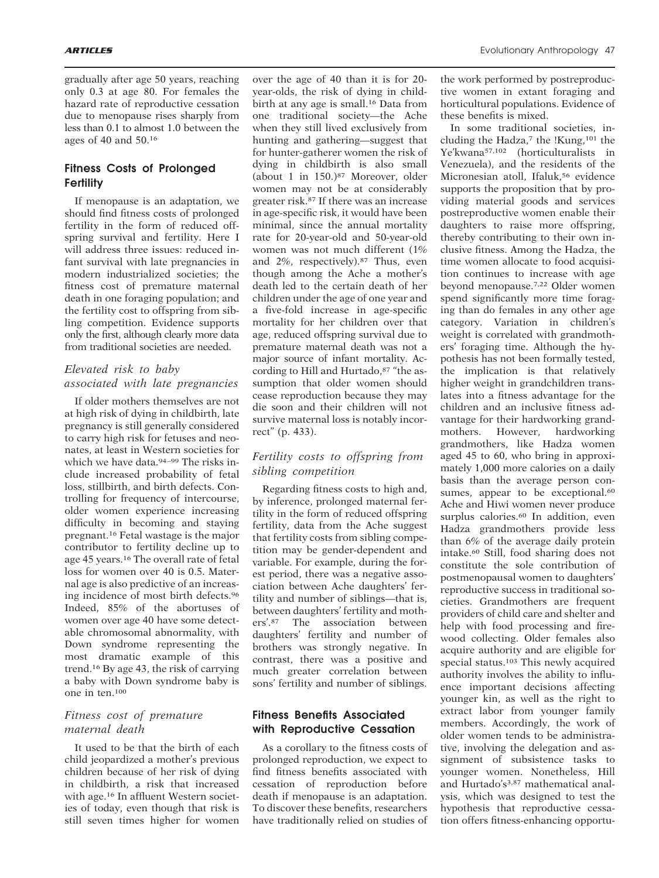gradually after age 50 years, reaching only 0.3 at age 80. For females the hazard rate of reproductive cessation due to menopause rises sharply from less than 0.1 to almost 1.0 between the ages of 40 and 50.16

## **Fitness Costs of Prolonged Fertility**

If menopause is an adaptation, we should find fitness costs of prolonged fertility in the form of reduced offspring survival and fertility. Here I will address three issues: reduced infant survival with late pregnancies in modern industrialized societies; the fitness cost of premature maternal death in one foraging population; and the fertility cost to offspring from sibling competition. Evidence supports only the first, although clearly more data from traditional societies are needed.

## *Elevated risk to baby associated with late pregnancies*

If older mothers themselves are not at high risk of dying in childbirth, late pregnancy is still generally considered to carry high risk for fetuses and neonates, at least in Western societies for which we have data.<sup>94-99</sup> The risks include increased probability of fetal loss, stillbirth, and birth defects. Controlling for frequency of intercourse, older women experience increasing difficulty in becoming and staying pregnant.16 Fetal wastage is the major contributor to fertility decline up to age 45 years.16 The overall rate of fetal loss for women over 40 is 0.5. Maternal age is also predictive of an increasing incidence of most birth defects.96 Indeed, 85% of the abortuses of women over age 40 have some detectable chromosomal abnormality, with Down syndrome representing the most dramatic example of this trend.16 By age 43, the risk of carrying a baby with Down syndrome baby is one in ten.100

## *Fitness cost of premature maternal death*

It used to be that the birth of each child jeopardized a mother's previous children because of her risk of dying in childbirth, a risk that increased with age.16 In affluent Western societies of today, even though that risk is still seven times higher for women

over the age of 40 than it is for 20 year-olds, the risk of dying in childbirth at any age is small.16 Data from one traditional society—the Ache when they still lived exclusively from hunting and gathering—suggest that for hunter-gatherer women the risk of dying in childbirth is also small (about 1 in 150.)87 Moreover, older women may not be at considerably greater risk.87 If there was an increase in age-specific risk, it would have been minimal, since the annual mortality rate for 20-year-old and 50-year-old women was not much different (1% and 2%, respectively).87 Thus, even though among the Ache a mother's death led to the certain death of her children under the age of one year and a five-fold increase in age-specific mortality for her children over that age, reduced offspring survival due to premature maternal death was not a major source of infant mortality. According to Hill and Hurtado,<sup>87</sup> "the assumption that older women should cease reproduction because they may die soon and their children will not survive maternal loss is notably incorrect" (p. 433).

## *Fertility costs to offspring from sibling competition*

Regarding fitness costs to high and, by inference, prolonged maternal fertility in the form of reduced offspring fertility, data from the Ache suggest that fertility costs from sibling competition may be gender-dependent and variable. For example, during the forest period, there was a negative association between Ache daughters' fertility and number of siblings—that is, between daughters' fertility and mothers'.87 The association between daughters' fertility and number of brothers was strongly negative. In contrast, there was a positive and much greater correlation between sons' fertility and number of siblings.

## **Fitness Benefits Associated with Reproductive Cessation**

As a corollary to the fitness costs of prolonged reproduction, we expect to find fitness benefits associated with cessation of reproduction before death if menopause is an adaptation. To discover these benefits, researchers have traditionally relied on studies of

the work performed by postreproductive women in extant foraging and horticultural populations. Evidence of these benefits is mixed.

In some traditional societies, including the Hadza, $^7$  the !Kung, $^{101}$  the Ye'kwana57,102 (horticulturalists in Venezuela), and the residents of the Micronesian atoll, Ifaluk,<sup>56</sup> evidence supports the proposition that by providing material goods and services postreproductive women enable their daughters to raise more offspring, thereby contributing to their own inclusive fitness. Among the Hadza, the time women allocate to food acquisition continues to increase with age beyond menopause.7,22 Older women spend significantly more time foraging than do females in any other age category. Variation in children's weight is correlated with grandmothers' foraging time. Although the hypothesis has not been formally tested, the implication is that relatively higher weight in grandchildren translates into a fitness advantage for the children and an inclusive fitness advantage for their hardworking grandmothers. However, hardworking grandmothers, like Hadza women aged 45 to 60, who bring in approximately 1,000 more calories on a daily basis than the average person consumes, appear to be exceptional.<sup>60</sup> Ache and Hiwi women never produce surplus calories.<sup>60</sup> In addition, even Hadza grandmothers provide less than 6% of the average daily protein intake.60 Still, food sharing does not constitute the sole contribution of postmenopausal women to daughters' reproductive success in traditional societies. Grandmothers are frequent providers of child care and shelter and help with food processing and firewood collecting. Older females also acquire authority and are eligible for special status.103 This newly acquired authority involves the ability to influence important decisions affecting younger kin, as well as the right to extract labor from younger family members. Accordingly, the work of older women tends to be administrative, involving the delegation and assignment of subsistence tasks to younger women. Nonetheless, Hill and Hurtado's<sup>3,87</sup> mathematical analysis, which was designed to test the hypothesis that reproductive cessation offers fitness-enhancing opportu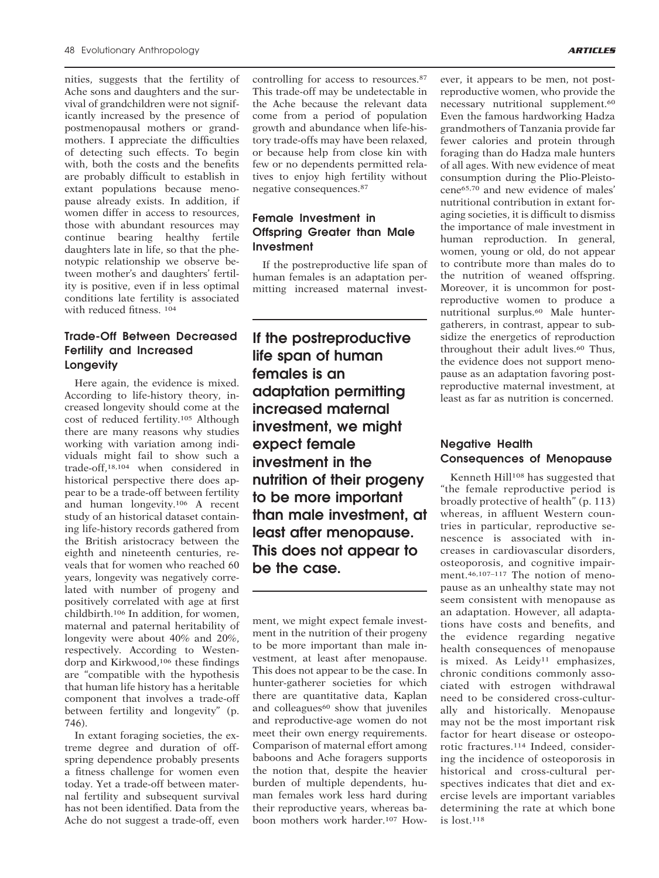nities, suggests that the fertility of Ache sons and daughters and the survival of grandchildren were not significantly increased by the presence of postmenopausal mothers or grandmothers. I appreciate the difficulties of detecting such effects. To begin with, both the costs and the benefits are probably difficult to establish in extant populations because menopause already exists. In addition, if women differ in access to resources, those with abundant resources may continue bearing healthy fertile daughters late in life, so that the phenotypic relationship we observe between mother's and daughters' fertility is positive, even if in less optimal conditions late fertility is associated with reduced fitness. <sup>104</sup>

## **Trade-Off Between Decreased Fertility and Increased Longevity**

Here again, the evidence is mixed. According to life-history theory, increased longevity should come at the cost of reduced fertility.105 Although there are many reasons why studies working with variation among individuals might fail to show such a trade-off,18,104 when considered in historical perspective there does appear to be a trade-off between fertility and human longevity.106 A recent study of an historical dataset containing life-history records gathered from the British aristocracy between the eighth and nineteenth centuries, reveals that for women who reached 60 years, longevity was negatively correlated with number of progeny and positively correlated with age at first childbirth.106 In addition, for women, maternal and paternal heritability of longevity were about 40% and 20%, respectively. According to Westendorp and Kirkwood,106 these findings are "compatible with the hypothesis that human life history has a heritable component that involves a trade-off between fertility and longevity" (p. 746).

In extant foraging societies, the extreme degree and duration of offspring dependence probably presents a fitness challenge for women even today. Yet a trade-off between maternal fertility and subsequent survival has not been identified. Data from the Ache do not suggest a trade-off, even

controlling for access to resources.87 This trade-off may be undetectable in the Ache because the relevant data come from a period of population growth and abundance when life-history trade-offs may have been relaxed, or because help from close kin with few or no dependents permitted relatives to enjoy high fertility without negative consequences.87

# **Female Investment in Offspring Greater than Male Investment**

If the postreproductive life span of human females is an adaptation permitting increased maternal invest-

**If the postreproductive life span of human females is an adaptation permitting increased maternal investment, we might expect female investment in the nutrition of their progeny to be more important than male investment, at least after menopause. This does not appear to be the case.**

ment, we might expect female investment in the nutrition of their progeny to be more important than male investment, at least after menopause. This does not appear to be the case. In hunter-gatherer societies for which there are quantitative data, Kaplan and colleagues<sup>60</sup> show that juveniles and reproductive-age women do not meet their own energy requirements. Comparison of maternal effort among baboons and Ache foragers supports the notion that, despite the heavier burden of multiple dependents, human females work less hard during their reproductive years, whereas baboon mothers work harder.107 How-

ever, it appears to be men, not postreproductive women, who provide the necessary nutritional supplement.60 Even the famous hardworking Hadza grandmothers of Tanzania provide far fewer calories and protein through foraging than do Hadza male hunters of all ages. With new evidence of meat consumption during the Plio-Pleistocene65,70 and new evidence of males' nutritional contribution in extant foraging societies, it is difficult to dismiss the importance of male investment in human reproduction. In general, women, young or old, do not appear to contribute more than males do to the nutrition of weaned offspring. Moreover, it is uncommon for postreproductive women to produce a nutritional surplus.60 Male huntergatherers, in contrast, appear to subsidize the energetics of reproduction throughout their adult lives.<sup>60</sup> Thus, the evidence does not support menopause as an adaptation favoring postreproductive maternal investment, at least as far as nutrition is concerned.

# **Negative Health Consequences of Menopause**

Kenneth Hill<sup>108</sup> has suggested that "the female reproductive period is broadly protective of health" (p. 113) whereas, in affluent Western countries in particular, reproductive senescence is associated with increases in cardiovascular disorders, osteoporosis, and cognitive impairment.46,107–117 The notion of menopause as an unhealthy state may not seem consistent with menopause as an adaptation. However, all adaptations have costs and benefits, and the evidence regarding negative health consequences of menopause is mixed. As Leidy<sup>11</sup> emphasizes, chronic conditions commonly associated with estrogen withdrawal need to be considered cross-culturally and historically. Menopause may not be the most important risk factor for heart disease or osteoporotic fractures.114 Indeed, considering the incidence of osteoporosis in historical and cross-cultural perspectives indicates that diet and exercise levels are important variables determining the rate at which bone is lost.118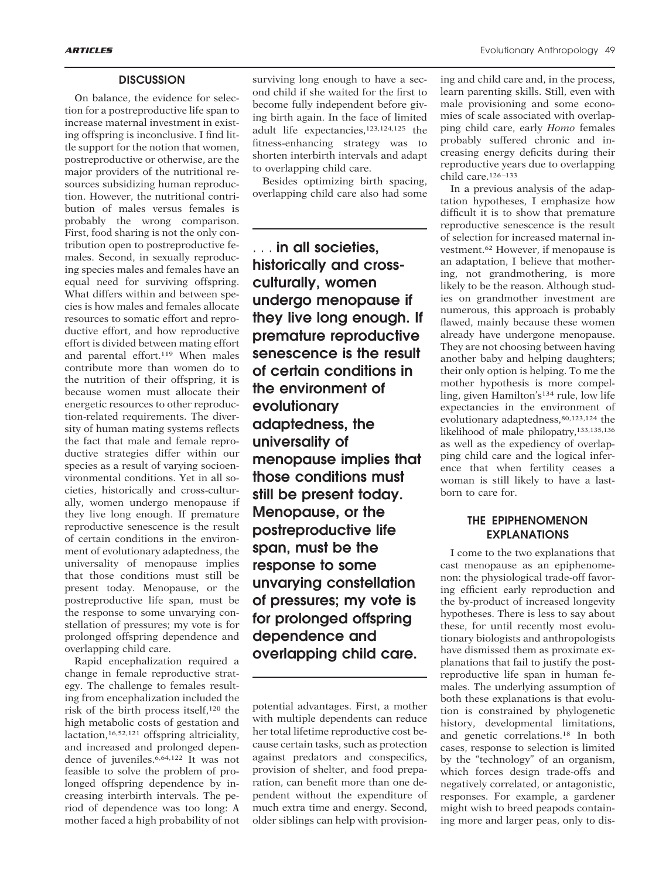#### **DISCUSSION**

On balance, the evidence for selection for a postreproductive life span to increase maternal investment in existing offspring is inconclusive. I find little support for the notion that women, postreproductive or otherwise, are the major providers of the nutritional resources subsidizing human reproduction. However, the nutritional contribution of males versus females is probably the wrong comparison. First, food sharing is not the only contribution open to postreproductive females. Second, in sexually reproducing species males and females have an equal need for surviving offspring. What differs within and between species is how males and females allocate resources to somatic effort and reproductive effort, and how reproductive effort is divided between mating effort and parental effort.119 When males contribute more than women do to the nutrition of their offspring, it is because women must allocate their energetic resources to other reproduction-related requirements. The diversity of human mating systems reflects the fact that male and female reproductive strategies differ within our species as a result of varying socioenvironmental conditions. Yet in all societies, historically and cross-culturally, women undergo menopause if they live long enough. If premature reproductive senescence is the result of certain conditions in the environment of evolutionary adaptedness, the universality of menopause implies that those conditions must still be present today. Menopause, or the postreproductive life span, must be the response to some unvarying constellation of pressures; my vote is for prolonged offspring dependence and overlapping child care.

Rapid encephalization required a change in female reproductive strategy. The challenge to females resulting from encephalization included the risk of the birth process itself,120 the high metabolic costs of gestation and lactation,16,52,121 offspring altriciality, and increased and prolonged dependence of juveniles.6,64,122 It was not feasible to solve the problem of prolonged offspring dependence by increasing interbirth intervals. The period of dependence was too long: A mother faced a high probability of not

surviving long enough to have a second child if she waited for the first to become fully independent before giving birth again. In the face of limited adult life expectancies,123,124,125 the fitness-enhancing strategy was to shorten interbirth intervals and adapt to overlapping child care.

Besides optimizing birth spacing, overlapping child care also had some

... **in all societies, historically and crossculturally, women undergo menopause if they live long enough. If premature reproductive senescence is the result of certain conditions in the environment of evolutionary adaptedness, the universality of menopause implies that those conditions must still be present today. Menopause, or the postreproductive life span, must be the response to some unvarying constellation of pressures; my vote is for prolonged offspring dependence and overlapping child care.**

potential advantages. First, a mother with multiple dependents can reduce her total lifetime reproductive cost because certain tasks, such as protection against predators and conspecifics, provision of shelter, and food preparation, can benefit more than one dependent without the expenditure of much extra time and energy. Second, older siblings can help with provision-

ing and child care and, in the process, learn parenting skills. Still, even with male provisioning and some economies of scale associated with overlapping child care, early *Homo* females probably suffered chronic and increasing energy deficits during their reproductive years due to overlapping child care.126–133

In a previous analysis of the adaptation hypotheses, I emphasize how difficult it is to show that premature reproductive senescence is the result of selection for increased maternal investment.62 However, if menopause is an adaptation, I believe that mothering, not grandmothering, is more likely to be the reason. Although studies on grandmother investment are numerous, this approach is probably flawed, mainly because these women already have undergone menopause. They are not choosing between having another baby and helping daughters; their only option is helping. To me the mother hypothesis is more compelling, given Hamilton's134 rule, low life expectancies in the environment of evolutionary adaptedness,80,123,124 the likelihood of male philopatry,133,135,136 as well as the expediency of overlapping child care and the logical inference that when fertility ceases a woman is still likely to have a lastborn to care for.

# **THE EPIPHENOMENON EXPLANATIONS**

I come to the two explanations that cast menopause as an epiphenomenon: the physiological trade-off favoring efficient early reproduction and the by-product of increased longevity hypotheses. There is less to say about these, for until recently most evolutionary biologists and anthropologists have dismissed them as proximate explanations that fail to justify the postreproductive life span in human females. The underlying assumption of both these explanations is that evolution is constrained by phylogenetic history, developmental limitations, and genetic correlations.18 In both cases, response to selection is limited by the "technology" of an organism, which forces design trade-offs and negatively correlated, or antagonistic, responses. For example, a gardener might wish to breed peapods containing more and larger peas, only to dis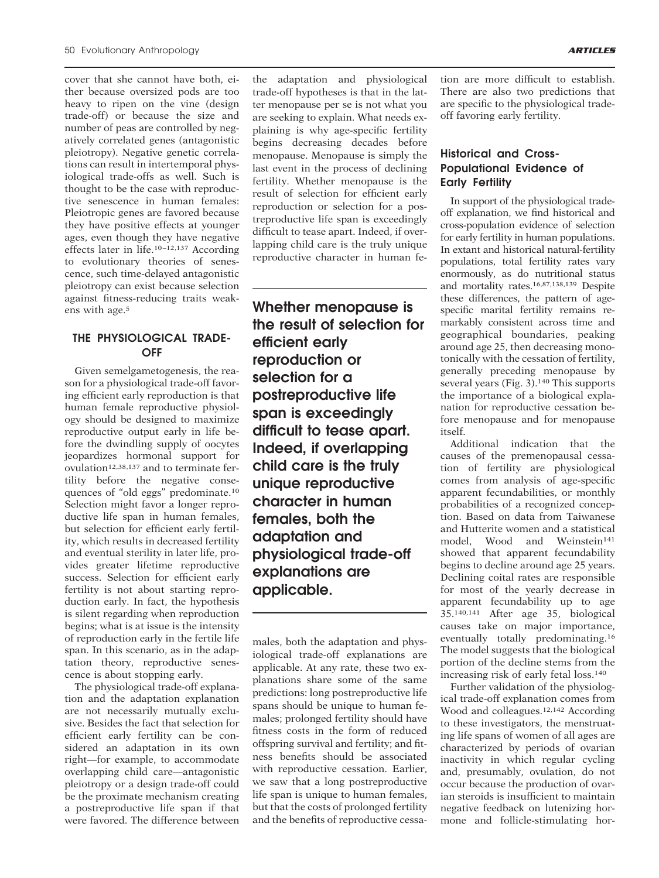cover that she cannot have both, either because oversized pods are too heavy to ripen on the vine (design trade-off) or because the size and number of peas are controlled by negatively correlated genes (antagonistic pleiotropy). Negative genetic correlations can result in intertemporal physiological trade-offs as well. Such is thought to be the case with reproductive senescence in human females: Pleiotropic genes are favored because they have positive effects at younger ages, even though they have negative effects later in life.10–12,137 According to evolutionary theories of senescence, such time-delayed antagonistic pleiotropy can exist because selection against fitness-reducing traits weakens with age.5

## **THE PHYSIOLOGICAL TRADE-OFF**

Given semelgametogenesis, the reason for a physiological trade-off favoring efficient early reproduction is that human female reproductive physiology should be designed to maximize reproductive output early in life before the dwindling supply of oocytes jeopardizes hormonal support for  $\alpha$  ovulation<sup>12,38,137</sup> and to terminate fertility before the negative consequences of "old eggs" predominate.10 Selection might favor a longer reproductive life span in human females, but selection for efficient early fertility, which results in decreased fertility and eventual sterility in later life, provides greater lifetime reproductive success. Selection for efficient early fertility is not about starting reproduction early. In fact, the hypothesis is silent regarding when reproduction begins; what is at issue is the intensity of reproduction early in the fertile life span. In this scenario, as in the adaptation theory, reproductive senescence is about stopping early.

The physiological trade-off explanation and the adaptation explanation are not necessarily mutually exclusive. Besides the fact that selection for efficient early fertility can be considered an adaptation in its own right—for example, to accommodate overlapping child care—antagonistic pleiotropy or a design trade-off could be the proximate mechanism creating a postreproductive life span if that were favored. The difference between

the adaptation and physiological trade-off hypotheses is that in the latter menopause per se is not what you are seeking to explain. What needs explaining is why age-specific fertility begins decreasing decades before menopause. Menopause is simply the last event in the process of declining fertility. Whether menopause is the result of selection for efficient early reproduction or selection for a postreproductive life span is exceedingly difficult to tease apart. Indeed, if overlapping child care is the truly unique reproductive character in human fe-

**Whether menopause is the result of selection for efficient early reproduction or selection for a postreproductive life span is exceedingly difficult to tease apart. Indeed, if overlapping child care is the truly unique reproductive character in human females, both the adaptation and physiological trade-off explanations are applicable.**

males, both the adaptation and physiological trade-off explanations are applicable. At any rate, these two explanations share some of the same predictions: long postreproductive life spans should be unique to human females; prolonged fertility should have fitness costs in the form of reduced offspring survival and fertility; and fitness benefits should be associated with reproductive cessation. Earlier, we saw that a long postreproductive life span is unique to human females, but that the costs of prolonged fertility and the benefits of reproductive cessation are more difficult to establish. There are also two predictions that are specific to the physiological tradeoff favoring early fertility.

## **Historical and Cross-Populational Evidence of Early Fertility**

In support of the physiological tradeoff explanation, we find historical and cross-population evidence of selection for early fertility in human populations. In extant and historical natural-fertility populations, total fertility rates vary enormously, as do nutritional status and mortality rates.16,87,138,139 Despite these differences, the pattern of agespecific marital fertility remains remarkably consistent across time and geographical boundaries, peaking around age 25, then decreasing monotonically with the cessation of fertility, generally preceding menopause by several years (Fig. 3).140 This supports the importance of a biological explanation for reproductive cessation before menopause and for menopause itself.

Additional indication that the causes of the premenopausal cessation of fertility are physiological comes from analysis of age-specific apparent fecundabilities, or monthly probabilities of a recognized conception. Based on data from Taiwanese and Hutterite women and a statistical model. Wood and Weinstein<sup>141</sup> showed that apparent fecundability begins to decline around age 25 years. Declining coital rates are responsible for most of the yearly decrease in apparent fecundability up to age 35.140,141 After age 35, biological causes take on major importance, eventually totally predominating.16 The model suggests that the biological portion of the decline stems from the increasing risk of early fetal loss.140

Further validation of the physiological trade-off explanation comes from Wood and colleagues.12,142 According to these investigators, the menstruating life spans of women of all ages are characterized by periods of ovarian inactivity in which regular cycling and, presumably, ovulation, do not occur because the production of ovarian steroids is insufficient to maintain negative feedback on lutenizing hormone and follicle-stimulating hor-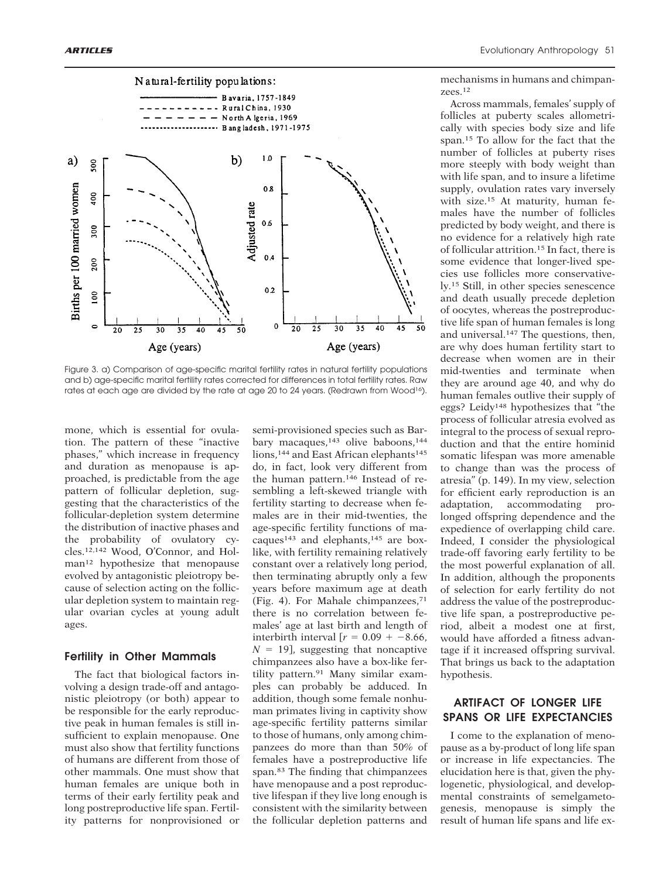

Figure 3. a) Comparison of age-specific marital fertility rates in natural fertility populations and b) age-specific marital fertility rates corrected for differences in total fertility rates. Raw rates at each age are divided by the rate at age 20 to 24 years. (Redrawn from Wood<sup>16</sup>).

mone, which is essential for ovulation. The pattern of these "inactive phases," which increase in frequency and duration as menopause is approached, is predictable from the age pattern of follicular depletion, suggesting that the characteristics of the follicular-depletion system determine the distribution of inactive phases and the probability of ovulatory cycles.12,142 Wood, O'Connor, and Holman12 hypothesize that menopause evolved by antagonistic pleiotropy because of selection acting on the follicular depletion system to maintain regular ovarian cycles at young adult ages.

#### **Fertility in Other Mammals**

The fact that biological factors involving a design trade-off and antagonistic pleiotropy (or both) appear to be responsible for the early reproductive peak in human females is still insufficient to explain menopause. One must also show that fertility functions of humans are different from those of other mammals. One must show that human females are unique both in terms of their early fertility peak and long postreproductive life span. Fertility patterns for nonprovisioned or

semi-provisioned species such as Barbary macaques,<sup>143</sup> olive baboons,<sup>144</sup> lions,<sup>144</sup> and East African elephants<sup>145</sup> do, in fact, look very different from the human pattern.146 Instead of resembling a left-skewed triangle with fertility starting to decrease when females are in their mid-twenties, the age-specific fertility functions of macaques143 and elephants,145 are boxlike, with fertility remaining relatively constant over a relatively long period, then terminating abruptly only a few years before maximum age at death (Fig. 4). For Mahale chimpanzees,71 there is no correlation between females' age at last birth and length of interbirth interval  $[r = 0.09 + -8.66]$ ,  $N = 19$ ], suggesting that noncaptive chimpanzees also have a box-like fertility pattern.91 Many similar examples can probably be adduced. In addition, though some female nonhuman primates living in captivity show age-specific fertility patterns similar to those of humans, only among chimpanzees do more than than 50% of females have a postreproductive life span.83 The finding that chimpanzees have menopause and a post reproductive lifespan if they live long enough is consistent with the similarity between the follicular depletion patterns and

mechanisms in humans and chimpanzees.12

Across mammals, females' supply of follicles at puberty scales allometrically with species body size and life span.15 To allow for the fact that the number of follicles at puberty rises more steeply with body weight than with life span, and to insure a lifetime supply, ovulation rates vary inversely with size.15 At maturity, human females have the number of follicles predicted by body weight, and there is no evidence for a relatively high rate of follicular attrition.15 In fact, there is some evidence that longer-lived species use follicles more conservatively.15 Still, in other species senescence and death usually precede depletion of oocytes, whereas the postreproductive life span of human females is long and universal.147 The questions, then, are why does human fertility start to decrease when women are in their mid-twenties and terminate when they are around age 40, and why do human females outlive their supply of eggs? Leidy148 hypothesizes that "the process of follicular atresia evolved as integral to the process of sexual reproduction and that the entire hominid somatic lifespan was more amenable to change than was the process of atresia" (p. 149). In my view, selection for efficient early reproduction is an adaptation, accommodating prolonged offspring dependence and the expedience of overlapping child care. Indeed, I consider the physiological trade-off favoring early fertility to be the most powerful explanation of all. In addition, although the proponents of selection for early fertility do not address the value of the postreproductive life span, a postreproductive period, albeit a modest one at first, would have afforded a fitness advantage if it increased offspring survival. That brings us back to the adaptation hypothesis.

# **ARTIFACT OF LONGER LIFE SPANS OR LIFE EXPECTANCIES**

I come to the explanation of menopause as a by-product of long life span or increase in life expectancies. The elucidation here is that, given the phylogenetic, physiological, and developmental constraints of semelgametogenesis, menopause is simply the result of human life spans and life ex-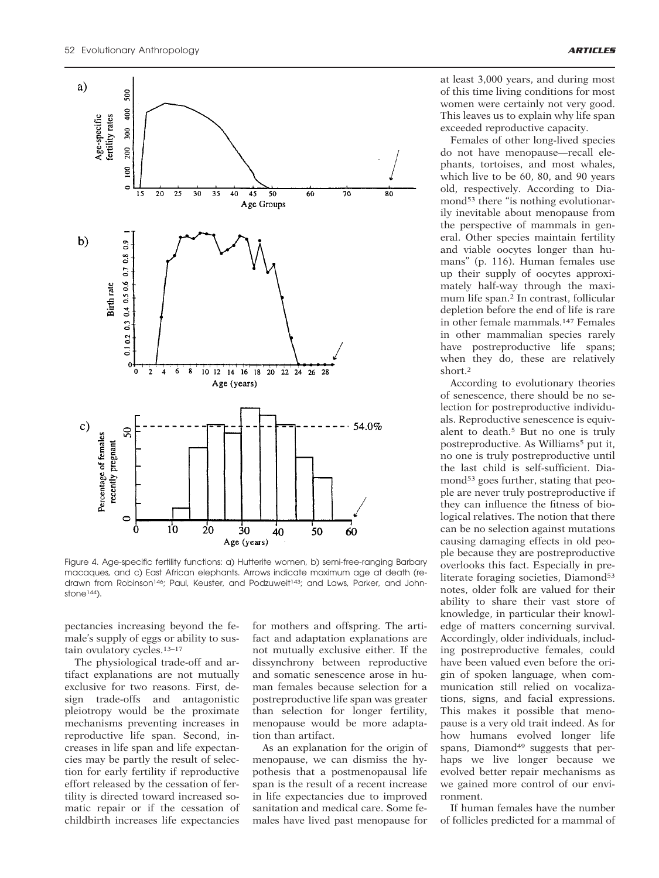

Figure 4. Age-specific fertility functions: a) Hutterite women, b) semi-free-ranging Barbary macaques, and c) East African elephants. Arrows indicate maximum age at death (redrawn from Robinson<sup>146</sup>; Paul, Keuster, and Podzuweit<sup>143</sup>; and Laws, Parker, and Johnstone<sup>144</sup>).

pectancies increasing beyond the female's supply of eggs or ability to sustain ovulatory cycles.13–17

The physiological trade-off and artifact explanations are not mutually exclusive for two reasons. First, design trade-offs and antagonistic pleiotropy would be the proximate mechanisms preventing increases in reproductive life span. Second, increases in life span and life expectancies may be partly the result of selection for early fertility if reproductive effort released by the cessation of fertility is directed toward increased somatic repair or if the cessation of childbirth increases life expectancies

for mothers and offspring. The artifact and adaptation explanations are not mutually exclusive either. If the dissynchrony between reproductive and somatic senescence arose in human females because selection for a postreproductive life span was greater than selection for longer fertility, menopause would be more adaptation than artifact.

As an explanation for the origin of menopause, we can dismiss the hypothesis that a postmenopausal life span is the result of a recent increase in life expectancies due to improved sanitation and medical care. Some females have lived past menopause for

at least 3,000 years, and during most of this time living conditions for most women were certainly not very good. This leaves us to explain why life span exceeded reproductive capacity.

Females of other long-lived species do not have menopause—recall elephants, tortoises, and most whales, which live to be 60, 80, and 90 years old, respectively. According to Diamond<sup>53</sup> there "is nothing evolutionarily inevitable about menopause from the perspective of mammals in general. Other species maintain fertility and viable oocytes longer than humans" (p. 116). Human females use up their supply of oocytes approximately half-way through the maximum life span.2 In contrast, follicular depletion before the end of life is rare in other female mammals.147 Females in other mammalian species rarely have postreproductive life spans; when they do, these are relatively short.2

According to evolutionary theories of senescence, there should be no selection for postreproductive individuals. Reproductive senescence is equivalent to death.5 But no one is truly postreproductive. As Williams5 put it, no one is truly postreproductive until the last child is self-sufficient. Diamond<sup>53</sup> goes further, stating that people are never truly postreproductive if they can influence the fitness of biological relatives. The notion that there can be no selection against mutations causing damaging effects in old people because they are postreproductive overlooks this fact. Especially in preliterate foraging societies, Diamond<sup>53</sup> notes, older folk are valued for their ability to share their vast store of knowledge, in particular their knowledge of matters concerning survival. Accordingly, older individuals, including postreproductive females, could have been valued even before the origin of spoken language, when communication still relied on vocalizations, signs, and facial expressions. This makes it possible that menopause is a very old trait indeed. As for how humans evolved longer life spans, Diamond<sup>49</sup> suggests that perhaps we live longer because we evolved better repair mechanisms as we gained more control of our environment.

If human females have the number of follicles predicted for a mammal of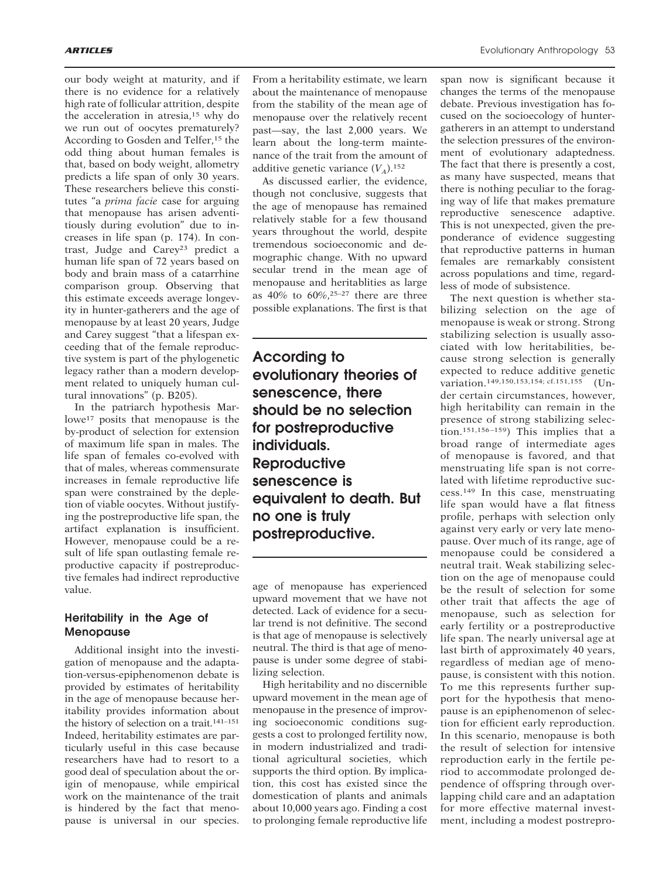our body weight at maturity, and if there is no evidence for a relatively high rate of follicular attrition, despite the acceleration in atresia,15 why do we run out of oocytes prematurely? According to Gosden and Telfer,<sup>15</sup> the odd thing about human females is that, based on body weight, allometry predicts a life span of only 30 years. These researchers believe this constitutes "a *prima facie* case for arguing that menopause has arisen adventitiously during evolution" due to increases in life span (p. 174). In contrast, Judge and Carey<sup>23</sup> predict a human life span of 72 years based on body and brain mass of a catarrhine comparison group. Observing that this estimate exceeds average longevity in hunter-gatherers and the age of menopause by at least 20 years, Judge and Carey suggest "that a lifespan exceeding that of the female reproductive system is part of the phylogenetic legacy rather than a modern development related to uniquely human cultural innovations" (p. B205).

In the patriarch hypothesis Marlowe<sup>17</sup> posits that menopause is the by-product of selection for extension of maximum life span in males. The life span of females co-evolved with that of males, whereas commensurate increases in female reproductive life span were constrained by the depletion of viable oocytes. Without justifying the postreproductive life span, the artifact explanation is insufficient. However, menopause could be a result of life span outlasting female reproductive capacity if postreproductive females had indirect reproductive value.

#### **Heritability in the Age of Menopause**

Additional insight into the investigation of menopause and the adaptation-versus-epiphenomenon debate is provided by estimates of heritability in the age of menopause because heritability provides information about the history of selection on a trait.141–151 Indeed, heritability estimates are particularly useful in this case because researchers have had to resort to a good deal of speculation about the origin of menopause, while empirical work on the maintenance of the trait is hindered by the fact that menopause is universal in our species.

From a heritability estimate, we learn about the maintenance of menopause from the stability of the mean age of menopause over the relatively recent past—say, the last 2,000 years. We learn about the long-term maintenance of the trait from the amount of additive genetic variance  $(V_A)$ .<sup>152</sup>

As discussed earlier, the evidence, though not conclusive, suggests that the age of menopause has remained relatively stable for a few thousand years throughout the world, despite tremendous socioeconomic and demographic change. With no upward secular trend in the mean age of menopause and heritablities as large as 40% to 60%,25–27 there are three possible explanations. The first is that

**According to evolutionary theories of senescence, there should be no selection for postreproductive individuals. Reproductive senescence is equivalent to death. But no one is truly postreproductive.**

age of menopause has experienced upward movement that we have not detected. Lack of evidence for a secular trend is not definitive. The second is that age of menopause is selectively neutral. The third is that age of menopause is under some degree of stabilizing selection.

High heritability and no discernible upward movement in the mean age of menopause in the presence of improving socioeconomic conditions suggests a cost to prolonged fertility now, in modern industrialized and traditional agricultural societies, which supports the third option. By implication, this cost has existed since the domestication of plants and animals about 10,000 years ago. Finding a cost to prolonging female reproductive life span now is significant because it changes the terms of the menopause debate. Previous investigation has focused on the socioecology of huntergatherers in an attempt to understand the selection pressures of the environment of evolutionary adaptedness. The fact that there is presently a cost, as many have suspected, means that there is nothing peculiar to the foraging way of life that makes premature reproductive senescence adaptive. This is not unexpected, given the preponderance of evidence suggesting that reproductive patterns in human females are remarkably consistent across populations and time, regardless of mode of subsistence.

The next question is whether stabilizing selection on the age of menopause is weak or strong. Strong stabilizing selection is usually associated with low heritabilities, because strong selection is generally expected to reduce additive genetic variation.<sup>149,150,153,154;</sup> cf.151,155 (Under certain circumstances, however, high heritability can remain in the presence of strong stabilizing selection.151,156–159) This implies that a broad range of intermediate ages of menopause is favored, and that menstruating life span is not correlated with lifetime reproductive success.149 In this case, menstruating life span would have a flat fitness profile, perhaps with selection only against very early or very late menopause. Over much of its range, age of menopause could be considered a neutral trait. Weak stabilizing selection on the age of menopause could be the result of selection for some other trait that affects the age of menopause, such as selection for early fertility or a postreproductive life span. The nearly universal age at last birth of approximately 40 years, regardless of median age of menopause, is consistent with this notion. To me this represents further support for the hypothesis that menopause is an epiphenomenon of selection for efficient early reproduction. In this scenario, menopause is both the result of selection for intensive reproduction early in the fertile period to accommodate prolonged dependence of offspring through overlapping child care and an adaptation for more effective maternal investment, including a modest postrepro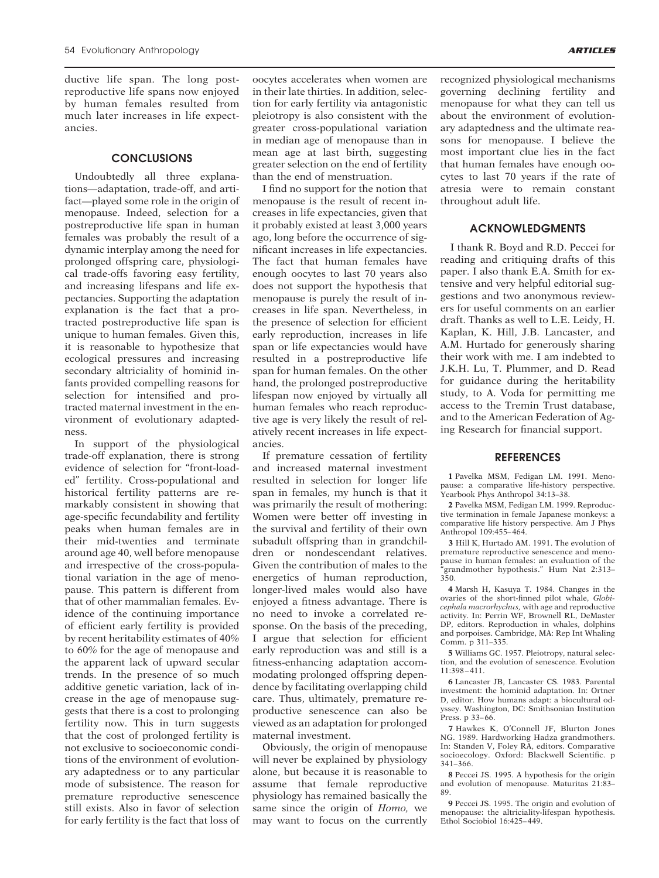ductive life span. The long postreproductive life spans now enjoyed by human females resulted from much later increases in life expectancies.

#### **CONCLUSIONS**

Undoubtedly all three explanations—adaptation, trade-off, and artifact—played some role in the origin of menopause. Indeed, selection for a postreproductive life span in human females was probably the result of a dynamic interplay among the need for prolonged offspring care, physiological trade-offs favoring easy fertility, and increasing lifespans and life expectancies. Supporting the adaptation explanation is the fact that a protracted postreproductive life span is unique to human females. Given this, it is reasonable to hypothesize that ecological pressures and increasing secondary altriciality of hominid infants provided compelling reasons for selection for intensified and protracted maternal investment in the environment of evolutionary adaptedness.

In support of the physiological trade-off explanation, there is strong evidence of selection for "front-loaded" fertility. Cross-populational and historical fertility patterns are remarkably consistent in showing that age-specific fecundability and fertility peaks when human females are in their mid-twenties and terminate around age 40, well before menopause and irrespective of the cross-populational variation in the age of menopause. This pattern is different from that of other mammalian females. Evidence of the continuing importance of efficient early fertility is provided by recent heritability estimates of 40% to 60% for the age of menopause and the apparent lack of upward secular trends. In the presence of so much additive genetic variation, lack of increase in the age of menopause suggests that there is a cost to prolonging fertility now. This in turn suggests that the cost of prolonged fertility is not exclusive to socioeconomic conditions of the environment of evolutionary adaptedness or to any particular mode of subsistence. The reason for premature reproductive senescence still exists. Also in favor of selection for early fertility is the fact that loss of

oocytes accelerates when women are in their late thirties. In addition, selection for early fertility via antagonistic pleiotropy is also consistent with the greater cross-populational variation in median age of menopause than in mean age at last birth, suggesting greater selection on the end of fertility than the end of menstruation.

I find no support for the notion that menopause is the result of recent increases in life expectancies, given that it probably existed at least 3,000 years ago, long before the occurrence of significant increases in life expectancies. The fact that human females have enough oocytes to last 70 years also does not support the hypothesis that menopause is purely the result of increases in life span. Nevertheless, in the presence of selection for efficient early reproduction, increases in life span or life expectancies would have resulted in a postreproductive life span for human females. On the other hand, the prolonged postreproductive lifespan now enjoyed by virtually all human females who reach reproductive age is very likely the result of relatively recent increases in life expectancies.

If premature cessation of fertility and increased maternal investment resulted in selection for longer life span in females, my hunch is that it was primarily the result of mothering: Women were better off investing in the survival and fertility of their own subadult offspring than in grandchildren or nondescendant relatives. Given the contribution of males to the energetics of human reproduction, longer-lived males would also have enjoyed a fitness advantage. There is no need to invoke a correlated response. On the basis of the preceding, I argue that selection for efficient early reproduction was and still is a fitness-enhancing adaptation accommodating prolonged offspring dependence by facilitating overlapping child care. Thus, ultimately, premature reproductive senescence can also be viewed as an adaptation for prolonged maternal investment.

Obviously, the origin of menopause will never be explained by physiology alone, but because it is reasonable to assume that female reproductive physiology has remained basically the same since the origin of *Homo,* we may want to focus on the currently

recognized physiological mechanisms governing declining fertility and menopause for what they can tell us about the environment of evolutionary adaptedness and the ultimate reasons for menopause. I believe the most important clue lies in the fact that human females have enough oocytes to last 70 years if the rate of atresia were to remain constant throughout adult life.

#### **ACKNOWLEDGMENTS**

I thank R. Boyd and R.D. Peccei for reading and critiquing drafts of this paper. I also thank E.A. Smith for extensive and very helpful editorial suggestions and two anonymous reviewers for useful comments on an earlier draft. Thanks as well to L.E. Leidy, H. Kaplan, K. Hill, J.B. Lancaster, and A.M. Hurtado for generously sharing their work with me. I am indebted to J.K.H. Lu, T. Plummer, and D. Read for guidance during the heritability study, to A. Voda for permitting me access to the Tremin Trust database, and to the American Federation of Aging Research for financial support.

#### **REFERENCES**

**1** Pavelka MSM, Fedigan LM. 1991. Menopause: a comparative life-history perspective. Yearbook Phys Anthropol 34:13–38.

**2** Pavelka MSM, Fedigan LM. 1999. Reproductive termination in female Japanese monkeys: a comparative life history perspective. Am J Phys Anthropol 109:455–464.

**3** Hill K, Hurtado AM. 1991. The evolution of premature reproductive senescence and menopause in human females: an evaluation of the "grandmother hypothesis." Hum Nat 2:313– 350.

**4** Marsh H, Kasuya T. 1984. Changes in the ovaries of the short-finned pilot whale, *Globicephala macrorhychus,* with age and reproductive activity. In: Perrin WF, Brownell RL, DeMaster DP, editors. Reproduction in whales, dolphins and porpoises. Cambridge, MA: Rep Int Whaling Comm. p 311–335.

**5** Williams GC. 1957. Pleiotropy, natural selection, and the evolution of senescence. Evolution 11:398–411.

**6** Lancaster JB, Lancaster CS. 1983. Parental investment: the hominid adaptation. In: Ortner D, editor. How humans adapt: a biocultural odyssey. Washington, DC: Smithsonian Institution Press. p 33–66.

**7** Hawkes K, O'Connell JF, Blurton Jones NG. 1989. Hardworking Hadza grandmothers. In: Standen V, Foley RA, editors. Comparative socioecology. Oxford: Blackwell Scientific. p 341–366.

**8** Peccei JS. 1995. A hypothesis for the origin and evolution of menopause. Maturitas 21:83– 89.

**9** Peccei JS. 1995. The origin and evolution of menopause: the altriciality-lifespan hypothesis. Ethol Sociobiol 16:425–449.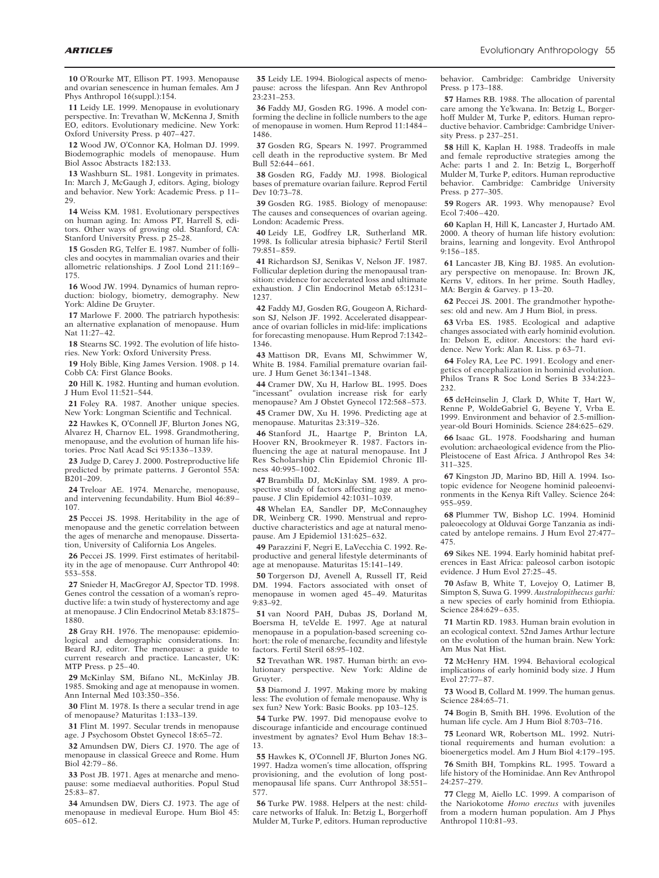**10** O'Rourke MT, Ellison PT. 1993. Menopause and ovarian senescence in human females. Am J Phys Anthropol 16(suppl.):154.

**11** Leidy LE. 1999. Menopause in evolutionary perspective. In: Trevathan W, McKenna J, Smith EO, editors. Evolutionary medicine. New York: Oxford University Press. p 407–427.

**12** Wood JW, O'Connor KA, Holman DJ. 1999. Biodemographic models of menopause. Hum Biol Assoc Abstracts 182:133.

**13** Washburn SL. 1981. Longevity in primates. In: March J, McGaugh J, editors. Aging, biology and behavior. New York: Academic Press. p 11– 29.

**14** Weiss KM. 1981. Evolutionary perspectives on human aging. In: Amoss PT, Harrell S, editors. Other ways of growing old. Stanford, CA: Stanford University Press. p 25–28.

**15** Gosden RG, Telfer E. 1987. Number of follicles and oocytes in mammalian ovaries and their allometric relationships. J Zool Lond 211:169– 175.

**16** Wood JW. 1994. Dynamics of human reproduction: biology, biometry, demography. New York: Aldine De Gruyter.

**17** Marlowe F. 2000. The patriarch hypothesis: an alternative explanation of menopause. Hum Nat 11:27–42.

**18** Stearns SC. 1992. The evolution of life histories. New York: Oxford University Press.

**19** Holy Bible, King James Version. 1908. p 14. Cobb CA: First Glance Books.

**20** Hill K. 1982. Hunting and human evolution. J Hum Evol 11:521–544.

**21** Foley RA. 1987. Another unique species. New York: Longman Scientific and Technical.

**22** Hawkes K, O'Connell JF, Blurton Jones NG, Alvarez H, Charnov EL. 1998. Grandmothering, menopause, and the evolution of human life histories. Proc Natl Acad Sci 95:1336–1339.

**23** Judge D, Carey J. 2000. Postreproductive life predicted by primate patterns. J Gerontol 55A: B<sub>201–209</sub>.

**24** Treloar AE. 1974. Menarche, menopause, and intervening fecundability. Hum Biol 46:89– 107.

**25** Peccei JS. 1998. Heritability in the age of menopause and the genetic correlation between the ages of menarche and menopause. Dissertation, University of California Los Angeles.

**26** Peccei JS. 1999. First estimates of heritability in the age of menopause. Curr Anthropol 40: 553–558.

**27** Snieder H, MacGregor AJ, Spector TD. 1998. Genes control the cessation of a woman's reproductive life: a twin study of hysterectomy and age at menopause. J Clin Endocrinol Metab 83:1875– 1880.

**28** Gray RH. 1976. The menopause: epidemiological and demographic considerations. In: Beard RJ, editor. The menopause: a guide to current research and practice. Lancaster, UK: MTP Press. p 25–40.

**29** McKinlay SM, Bifano NL, McKinlay JB. 1985. Smoking and age at menopause in women. Ann Internal Med 103:350–356.

**30** Flint M. 1978. Is there a secular trend in age of menopause? Maturitas 1:133–139.

**31** Flint M. 1997. Secular trends in menopause age. J Psychosom Obstet Gynecol 18:65–72.

**32** Amundsen DW, Diers CJ. 1970. The age of menopause in classical Greece and Rome. Hum Biol 42:79–86.

**33** Post JB. 1971. Ages at menarche and menopause: some mediaeval authorities. Popul Stud 25:83–87.

**34** Amundsen DW, Diers CJ. 1973. The age of menopause in medieval Europe. Hum Biol 45: 605–612.

**35** Leidy LE. 1994. Biological aspects of menopause: across the lifespan. Ann Rev Anthropol 23:231–253.

**36** Faddy MJ, Gosden RG. 1996. A model conforming the decline in follicle numbers to the age of menopause in women. Hum Reprod 11:1484– 1486.

**37** Gosden RG, Spears N. 1997. Programmed cell death in the reproductive system. Br Med Bull 52:644–661.

**38** Gosden RG, Faddy MJ. 1998. Biological bases of premature ovarian failure. Reprod Fertil Dev 10:73–78.

**39** Gosden RG. 1985. Biology of menopause: The causes and consequences of ovarian ageing. London: Academic Press.

**40** Leidy LE, Godfrey LR, Sutherland MR. 1998. Is follicular atresia biphasic? Fertil Steril 79:851–859.

**41** Richardson SJ, Senikas V, Nelson JF. 1987. Follicular depletion during the menopausal transition: evidence for accelerated loss and ultimate exhaustion. J Clin Endocrinol Metab 65:1231– 1237.

**42** Faddy MJ, Gosden RG, Gougeon A, Richardson SJ, Nelson JF. 1992. Accelerated disappearance of ovarian follicles in mid-life: implications for forecasting menopause. Hum Reprod 7:1342– 1346.

**43** Mattison DR, Evans MI, Schwimmer W, White B. 1984. Familial premature ovarian failure. J Hum Genet 36:1341–1348.

**44** Cramer DW, Xu H, Harlow BL. 1995. Does "incessant" ovulation increase risk for early menopause? Am J Obstet Gynecol 172:568–573.

**45** Cramer DW, Xu H. 1996. Predicting age at menopause. Maturitas 23:319–326.

**46** Stanford JL, Haartge P, Brinton LA, Hoover RN, Brookmeyer R. 1987. Factors influencing the age at natural menopause. Int J Res Scholarship Clin Epidemiol Chronic Illness 40:995–1002.

**47** Brambilla DJ, McKinlay SM. 1989. A prospective study of factors affecting age at menopause. J Clin Epidemiol 42:1031–1039.

**48** Whelan EA, Sandler DP, McConnaughey DR, Weinberg CR. 1990. Menstrual and reproductive characteristics and age at natural menopause. Am J Epidemiol 131:625–632.

**49** Parazzini F, Negri E, LaVecchia C. 1992. Reproductive and general lifestyle determinants of age at menopause. Maturitas 15:141–149.

**50** Torgerson DJ, Avenell A, Russell IT, Reid DM. 1994. Factors associated with onset of menopause in women aged 45–49. Maturitas  $9.83 - 92$ 

**51** van Noord PAH, Dubas JS, Dorland M, Boersma H, teVelde E. 1997. Age at natural menopause in a population-based screening cohort: the role of menarche, fecundity and lifestyle factors. Fertil Steril 68:95–102.

**52** Trevathan WR. 1987. Human birth: an evolutionary perspective. New York: Aldine de Gruyter.

**53** Diamond J. 1997. Making more by making less: The evolution of female menopause. Why is sex fun? New York: Basic Books. pp 103–125.

**54** Turke PW. 1997. Did menopause evolve to discourage infanticide and encourage continued investment by agnates? Evol Hum Behav 18:3– 13.

**55** Hawkes K, O'Connell JF, Blurton Jones NG. 1997. Hadza women's time allocation, offspring provisioning, and the evolution of long postmenopausal life spans. Curr Anthropol 38:551– 577.

**56** Turke PW. 1988. Helpers at the nest: childcare networks of Ifaluk. In: Betzig L, Borgerhoff Mulder M, Turke P, editors. Human reproductive behavior. Cambridge: Cambridge University Press. p 173–188.

**57** Hames RB. 1988. The allocation of parental care among the Ye'kwana. In: Betzig L, Borgerhoff Mulder M, Turke P, editors. Human reproductive behavior. Cambridge: Cambridge University Press. p 237–251.

**58** Hill K, Kaplan H. 1988. Tradeoffs in male and female reproductive strategies among the Ache: parts 1 and 2. In: Betzig L, Borgerhoff Mulder M, Turke P, editors. Human reproductive behavior. Cambridge: Cambridge University Press. p 277–305.

**59** Rogers AR. 1993. Why menopause? Evol Ecol 7:406–420.

**60** Kaplan H, Hill K, Lancaster J, Hurtado AM. 2000. A theory of human life history evolution: brains, learning and longevity. Evol Anthropol 9:156–185.

**61** Lancaster JB, King BJ. 1985. An evolutionary perspective on menopause. In: Brown JK, Kerns V, editors. In her prime. South Hadley, MA: Bergin & Garvey. p 13–20.

**62** Peccei JS. 2001. The grandmother hypotheses: old and new. Am J Hum Biol, in press.

**63** Vrba ES. 1985. Ecological and adaptive changes associated with early hominid evolution. In: Delson E, editor. Ancestors: the hard evidence. New York: Alan R. Liss. p 63–71.

**64** Foley RA, Lee PC. 1991. Ecology and energetics of encephalization in hominid evolution. Philos Trans R Soc Lond Series B 334:223– 232.

**65** deHeinselin J, Clark D, White T, Hart W, Renne P, WoldeGabriel G, Beyene Y, Vrba E. 1999. Environment and behavior of 2.5-millionyear-old Bouri Hominids. Science 284:625–629.

**66** Isaac GL. 1978. Foodsharing and human evolution: archaeological evidence from the Plio-Pleistocene of East Africa. J Anthropol Res 34: 311–325.

**67** Kingston JD, Marino BD, Hill A. 1994. Isotopic evidence for Neogene hominid paleoenvironments in the Kenya Rift Valley. Science 264: 955–959.

**68** Plummer TW, Bishop LC. 1994. Hominid paleoecology at Olduvai Gorge Tanzania as indicated by antelope remains. J Hum Evol 27:477– 475.

**69** Sikes NE. 1994. Early hominid habitat preferences in East Africa: paleosol carbon isotopic evidence. J Hum Evol 27:25–45.

**70** Asfaw B, White T, Lovejoy O, Latimer B, Simpton S, Suwa G. 1999. *Australopithecus garhi:* a new species of early hominid from Ethiopia. Science 284:629–635.

**71** Martin RD. 1983. Human brain evolution in an ecological context. 52nd James Arthur lecture on the evolution of the human brain. New York: Am Mus Nat Hist.

**72** McHenry HM. 1994. Behavioral ecological implications of early hominid body size. J Hum Evol 27:77–87.

**73** Wood B, Collard M. 1999. The human genus. Science 284:65–71.

**74** Bogin B, Smith BH. 1996. Evolution of the human life cycle. Am J Hum Biol 8:703–716.

**75** Leonard WR, Robertson ML. 1992. Nutritional requirements and human evolution: a bioenergetics model. Am J Hum Biol 4:179–195.

**76** Smith BH, Tompkins RL. 1995. Toward a life history of the Hominidae. Ann Rev Anthropol 24:257–279.

**77** Clegg M, Aiello LC. 1999. A comparison of the Nariokotome *Homo erectus* with juveniles from a modern human population. Am J Phys Anthropol 110:81–93.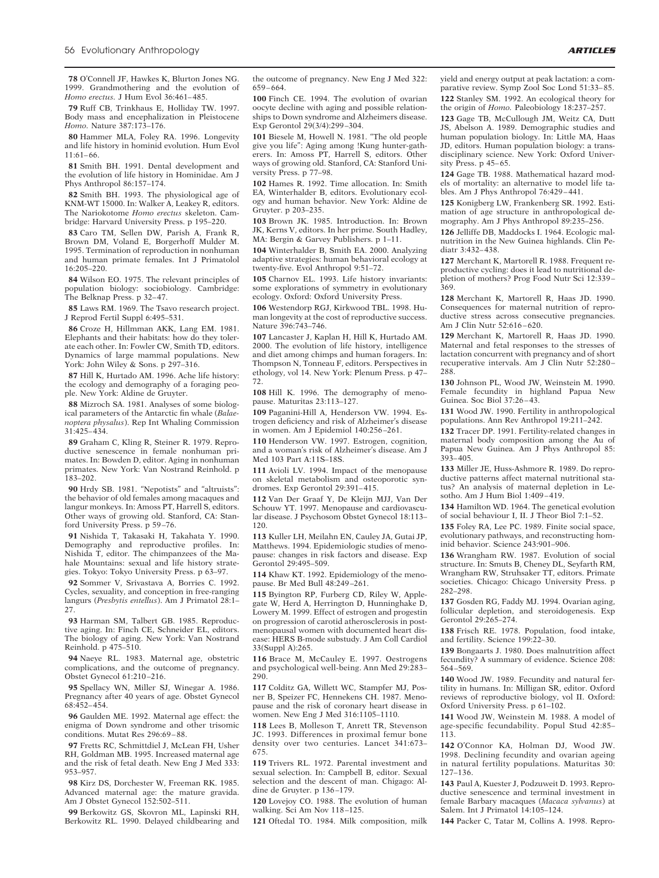**78** O'Connell JF, Hawkes K, Blurton Jones NG. 1999. Grandmothering and the evolution of *Homo erectus.* J Hum Evol 36:461–485.

**79** Ruff CB, Trinkhaus E, Holliday TW. 1997. Body mass and encephalization in Pleistocene *Homo.* Nature 387:173–176.

**80** Hammer MLA, Foley RA. 1996. Longevity and life history in hominid evolution. Hum Evol 11:61–66.

**81** Smith BH. 1991. Dental development and the evolution of life history in Hominidae. Am J Phys Anthropol 86:157–174.

**82** Smith BH. 1993. The physiological age of KNM-WT 15000. In: Walker A, Leakey R, editors. The Nariokotome *Homo erectus* skeleton. Cambridge: Harvard University Press. p 195–220.

**83** Caro TM, Sellen DW, Parish A, Frank R, Brown DM, Voland E, Borgerhoff Mulder M. 1995. Termination of reproduction in nonhuman and human primate females. Int J Primatolol 16:205–220.

**84** Wilson EO. 1975. The relevant principles of population biology: sociobiology. Cambridge: The Belknap Press. p 32–47.

**85** Laws RM. 1969. The Tsavo research project. J Reprod Fertil Suppl 6:495–531.

**86** Croze H, Hillmman AKK, Lang EM. 1981. Elephants and their habitats: how do they tolerate each other. In: Fowler CW, Smith TD, editors. Dynamics of large mammal populations. New York: John Wiley & Sons. p 297–316.

**87** Hill K, Hurtado AM. 1996. Ache life history: the ecology and demography of a foraging people. New York: Aldine de Gruyter.

**88** Mizroch SA. 1981. Analyses of some biological parameters of the Antarctic fin whale (*Balaenoptera physalus*). Rep Int Whaling Commission 31:425–434.

**89** Graham C, Kling R, Steiner R. 1979. Reproductive senescence in female nonhuman primates. In: Bowden D, editor. Aging in nonhuman primates. New York: Van Nostrand Reinhold. p 183–202.

**90** Hrdy SB. 1981. "Nepotists" and "altruists": the behavior of old females among macaques and langur monkeys. In: Amoss PT, Harrell S, editors. Other ways of growing old. Stanford, CA: Stanford University Press. p 59–76.

**91** Nishida T, Takasaki H, Takahata Y. 1990. Demography and reproductive profiles. In: Nishida T, editor. The chimpanzees of the Mahale Mountains: sexual and life history strategies. Tokyo: Tokyo University Press. p 63–97.

**92** Sommer V, Srivastava A, Borries C. 1992. Cycles, sexuality, and conception in free-ranging langurs (*Presbytis entellus*). Am J Primatol 28:1– 27.

**93** Harman SM, Talbert GB. 1985. Reproductive aging. In: Finch CE, Schneider EL, editors. The biology of aging. New York: Van Nostrand Reinhold. p 475–510.

**94** Naeye RL. 1983. Maternal age, obstetric complications, and the outcome of pregnancy. Obstet Gynecol 61:210–216.

**95** Spellacy WN, Miller SJ, Winegar A. 1986. Pregnancy after 40 years of age. Obstet Gynecol 68:452–454.

**96** Gaulden ME. 1992. Maternal age effect: the enigma of Down syndrome and other trisomic conditions. Mutat Res 296:69–88.

**97** Fretts RC, Schmittdiel J, McLean FH, Usher RH, Goldman MB. 1995. Increased maternal age and the risk of fetal death. New Eng J Med 333: 953–957.

**98** Kirz DS, Dorchester W, Freeman RK. 1985. Advanced maternal age: the mature gravida. Am J Obstet Gynecol 152:502–511.

**99** Berkowitz GS, Skovron ML, Lapinski RH, Berkowitz RL. 1990. Delayed childbearing and the outcome of pregnancy. New Eng J Med 322: 659–664.

**100** Finch CE. 1994. The evolution of ovarian oocyte decline with aging and possible relationships to Down syndrome and Alzheimers disease. Exp Gerontol 29(3/4):299–304.

**101** Biesele M, Howell N. 1981. "The old people give you life": Aging among !Kung hunter-gatherers. In: Amoss PT, Harrell S, editors. Other ways of growing old. Stanford, CA: Stanford University Press. p 77–98.

**102** Hames R. 1992. Time allocation. In: Smith EA, Winterhalder B, editors. Evolutionary ecology and human behavior. New York: Aldine de Gruyter. p 203–235.

**103** Brown JK. 1985. Introduction. In: Brown JK, Kerns V, editors. In her prime. South Hadley, MA: Bergin & Garvey Publishers. p 1–11.

**104** Winterhalder B, Smith EA. 2000. Analyzing adaptive strategies: human behavioral ecology at twenty-five. Evol Anthropol 9:51–72.

**105** Charnov EL. 1993. Life history invariants: some explorations of symmetry in evolutionary ecology. Oxford: Oxford University Press.

**106** Westendorp RGJ, Kirkwood TBL. 1998. Human longevity at the cost of reproductive success. Nature 396:743–746.

**107** Lancaster J, Kaplan H, Hill K, Hurtado AM. 2000. The evolution of life history, intelligence and diet among chimps and human foragers. In: Thompson N, Tonneau F, editors. Perspectives in ethology, vol 14. New York: Plenum Press. p 47– 72.

**108** Hill K. 1996. The demography of menopause. Maturitas 23:113–127.

**109** Paganini-Hill A, Henderson VW. 1994. Estrogen deficiency and risk of Alzheimer's disease in women. Am J Epidemiol 140:256–261.

**110** Henderson VW. 1997. Estrogen, cognition, and a woman's risk of Alzheimer's disease. Am J Med 103 Part A:11S–18S.

**111** Avioli LV. 1994. Impact of the menopause on skeletal metabolism and osteoporotic syndromes. Exp Gerontol 29:391–415.

**112** Van Der Graaf Y, De Kleijn MJJ, Van Der Schouw YT. 1997. Menopause and cardiovascular disease. J Psychosom Obstet Gynecol 18:113– 120.

**113** Kuller LH, Meilahn EN, Cauley JA, Gutai JP, Matthews. 1994. Epidemiologic studies of menopause: changes in risk factors and disease. Exp Gerontol 29:495–509.

**114** Khaw KT. 1992. Epidemiology of the menopause. Br Med Bull 48:249–261.

**115** Byington RP, Furberg CD, Riley W, Applegate W, Herd A, Herrington D, Hunninghake D, Lowery M. 1999. Effect of estrogen and progestin on progression of carotid atherosclerosis in postmenopausal women with documented heart disease: HERS B-mode substudy. J Am Coll Cardiol 33(Suppl A):265.

**116** Brace M, McCauley E. 1997. Oestrogens and psychological well-being. Ann Med 29:283– 290.

**117** Colditz GA, Willett WC, Stampfer MJ, Posner B, Speizer FC, Hennekens CH. 1987. Menopause and the risk of coronary heart disease in women. New Eng J Med 316:1105–1110.

**118** Lees B, Molleson T, Anrett TR, Stevenson JC. 1993. Differences in proximal femur bone density over two centuries. Lancet 341:673– 675.

**119** Trivers RL. 1972. Parental investment and sexual selection. In: Campbell B, editor. Sexual selection and the descent of man. Chigago: Aldine de Gruyter. p 136–179.

**120** Lovejoy CO. 1988. The evolution of human walking. Sci Am Nov 118–125.

**121** Oftedal TO. 1984. Milk composition, milk

yield and energy output at peak lactation: a comparative review. Symp Zool Soc Lond 51:33–85.

**122** Stanley SM. 1992. An ecological theory for the origin of *Homo.* Paleobiology 18:237–257.

**123** Gage TB, McCullough JM, Weitz CA, Dutt JS, Abelson A. 1989. Demographic studies and human population biology. In: Little MA, Haas JD, editors. Human population biology: a transdisciplinary science. New York: Oxford University Press. p 45–65.

**124** Gage TB. 1988. Mathematical hazard models of mortality: an alternative to model life tables. Am J Phys Anthropol 76:429–441.

**125** Konigberg LW, Frankenberg SR. 1992. Estimation of age structure in anthropological demography. Am J Phys Anthropol 89:235–256.

**126** Jelliffe DB, Maddocks I. 1964. Ecologic malnutrition in the New Guinea highlands. Clin Pediatr 3:432–438.

127 Merchant K, Martorell R, 1988. Frequent reproductive cycling: does it lead to nutritional depletion of mothers? Prog Food Nutr Sci 12:339– 369.

**128** Merchant K, Martorell R, Haas JD. 1990. Consequences for maternal nutrition of reproductive stress across consecutive pregnancies. Am J Clin Nutr 52:616–620.

**129** Merchant K, Martorell R, Haas JD. 1990. Maternal and fetal responses to the stresses of lactation concurrent with pregnancy and of short recuperative intervals. Am J Clin Nutr 52:280– 288.

**130** Johnson PL, Wood JW, Weinstein M. 1990. Female fecundity in highland Papua New Guinea. Soc Biol 37:26–43.

**131** Wood JW. 1990. Fertility in anthropological populations. Ann Rev Anthropol 19:211–242.

**132** Tracer DP. 1991. Fertility-related changes in maternal body composition among the Au of Papua New Guinea. Am J Phys Anthropol 85: 393–405.

**133** Miller JE, Huss-Ashmore R. 1989. Do reproductive patterns affect maternal nutritional status? An analysis of maternal depletion in Lesotho. Am J Hum Biol 1:409–419.

**134** Hamilton WD. 1964. The genetical evolution of social behaviour I, II. J Theor Biol 7:1–52.

**135** Foley RA, Lee PC. 1989. Finite social space, evolutionary pathways, and reconstructing hominid behavior. Science 243:901–906.

**136** Wrangham RW. 1987. Evolution of social structure. In: Smuts B, Cheney DL, Seyfarth RM, Wrangham RW, Struhsaker TT, editors. Primate societies. Chicago: Chicago University Press. p 282–298.

**137** Gosden RG, Faddy MJ. 1994. Ovarian aging, follicular depletion, and steroidogenesis. Exp Gerontol 29:265–274.

**138** Frisch RE. 1978. Population, food intake, and fertility. Science 199:22–30.

**139** Bongaarts J. 1980. Does malnutrition affect fecundity? A summary of evidence. Science 208: 564–569.

**140** Wood JW. 1989. Fecundity and natural fertility in humans. In: Milligan SR, editor. Oxford reviews of reproductive biology, vol II. Oxford: Oxford University Press. p 61–102.

**141** Wood JW, Weinstein M. 1988. A model of age-specific fecundability. Popul Stud 42:85– 113.

**142** O'Connor KA, Holman DJ, Wood JW. 1998. Declining fecundity and ovarian ageing in natural fertility populations. Maturitas 30: 127–136.

**143** Paul A, Kuester J, Podzuweit D. 1993. Reproductive senescence and terminal investment in female Barbary macaques (*Macaca sylvanus*) at Salem. Int J Primatol 14:105–124.

**144** Packer C, Tatar M, Collins A. 1998. Repro-